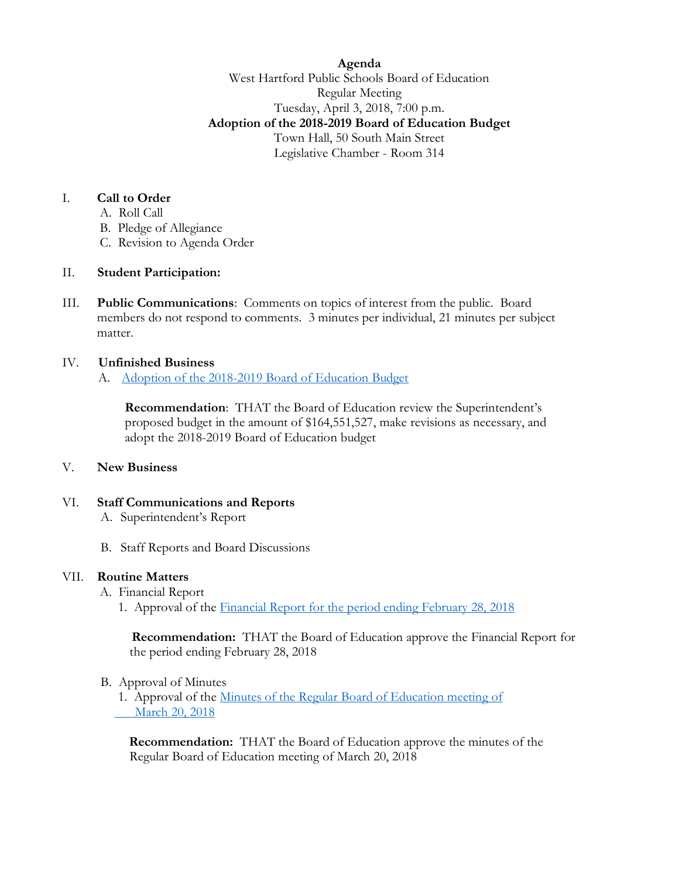**Agenda** West Hartford Public Schools Board of Education Regular Meeting Tuesday, April 3, 2018, 7:00 p.m. **Adoption of the 2018-2019 Board of Education Budget** Town Hall, 50 South Main Street Legislative Chamber - Room 314

### I. **Call to Order**

- A. Roll Call
- B. Pledge of Allegiance
- C. Revision to Agenda Order

## II. **Student Participation:**

III. **Public Communications**: Comments on topics of interest from the public. Board members do not respond to comments. 3 minutes per individual, 21 minutes per subject matter.

## IV. **Unfinished Business**

A. Adoption of the 2018-2019 [Board of Education Budget](https://www.whps.org/uploaded/BOE/BOE_Documents/20180403/boiler_plate_for_adoption_of_the_budget_0403.pdf?1522326777070)

**Recommendation**: THAT the Board of Education review the Superintendent's proposed budget in the amount of \$164,551,527, make revisions as necessary, and adopt the 2018-2019 Board of Education budget

### V. **New Business**

# VI. **Staff Communications and Reports**

- A. Superintendent's Report
- B. Staff Reports and Board Discussions

### VII. **Routine Matters**

- A. Financial Report
	- 1. Approval of the Financial Report for the [period ending February 28, 2018](https://www.whps.org/uploaded/BOE/BOE_Documents/20180403/Financial_Report_for_Period_Ending_February_28,_2018.pdf?1522326761734)

 **Recommendation:** THAT the Board of Education approve the Financial Report for the period ending February 28, 2018

### B. Approval of Minutes

1. Approval of the [Minutes of the Regular Board of Education meeting of](https://www.whps.org/uploaded/BOE/BOE_Documents/20180403/unofficial_minutes_from_03202018.pdf?1522326741307)   [March](https://www.whps.org/uploaded/BOE/BOE_Documents/20180403/unofficial_minutes_from_03202018.pdf?1522326741307) 20, 2018

 **Recommendation:** THAT the Board of Education approve the minutes of the Regular Board of Education meeting of March 20, 2018